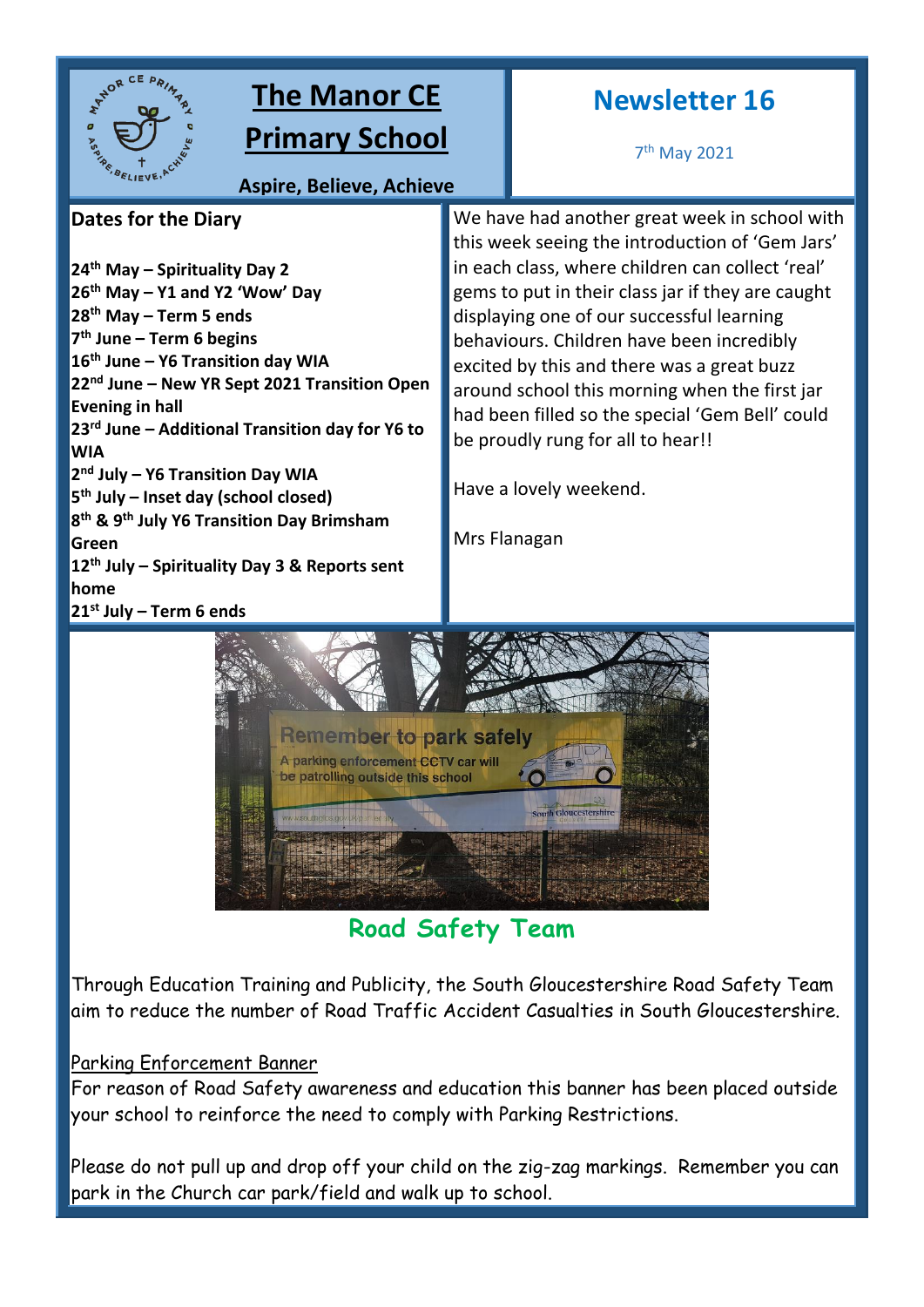

# **The Manor CE Primary School**

## **Newsletter 16**

7 th May 2021

**Aspire, Believe, Achieve**

## **Dates for the Diary**

**th May – Spirituality Day 2 th May – Y1 and Y2 'Wow' Day th May – Term 5 ends th June – Term 6 begins th June – Y6 Transition day WIA nd June – New YR Sept 2021 Transition Open Evening in hall rd June – Additional Transition day for Y6 to WIA nd July – Y6 Transition Day WIA th July – Inset day (school closed) th & 9th July Y6 Transition Day Brimsham Green th July – Spirituality Day 3 & Reports sent home st July – Term 6 ends**

We have had another great week in school with this week seeing the introduction of 'Gem Jars' in each class, where children can collect 'real' gems to put in their class jar if they are caught displaying one of our successful learning behaviours. Children have been incredibly excited by this and there was a great buzz around school this morning when the first jar had been filled so the special 'Gem Bell' could be proudly rung for all to hear!! **Shine like stars in the sky**

Have a lovely weekend.

Mrs Flanagan



**Road Safety Team**

Through Education Training and Publicity, the South Gloucestershire Road Safety Team aim to reduce the number of Road Traffic Accident Casualties in South Gloucestershire.

## Parking Enforcement Banner

For reason of Road Safety awareness and education this banner has been placed outside your school to reinforce the need to comply with Parking Restrictions.

Please do not pull up and drop off your child on the zig-zag markings. Remember you can park in the Church car park/field and walk up to school.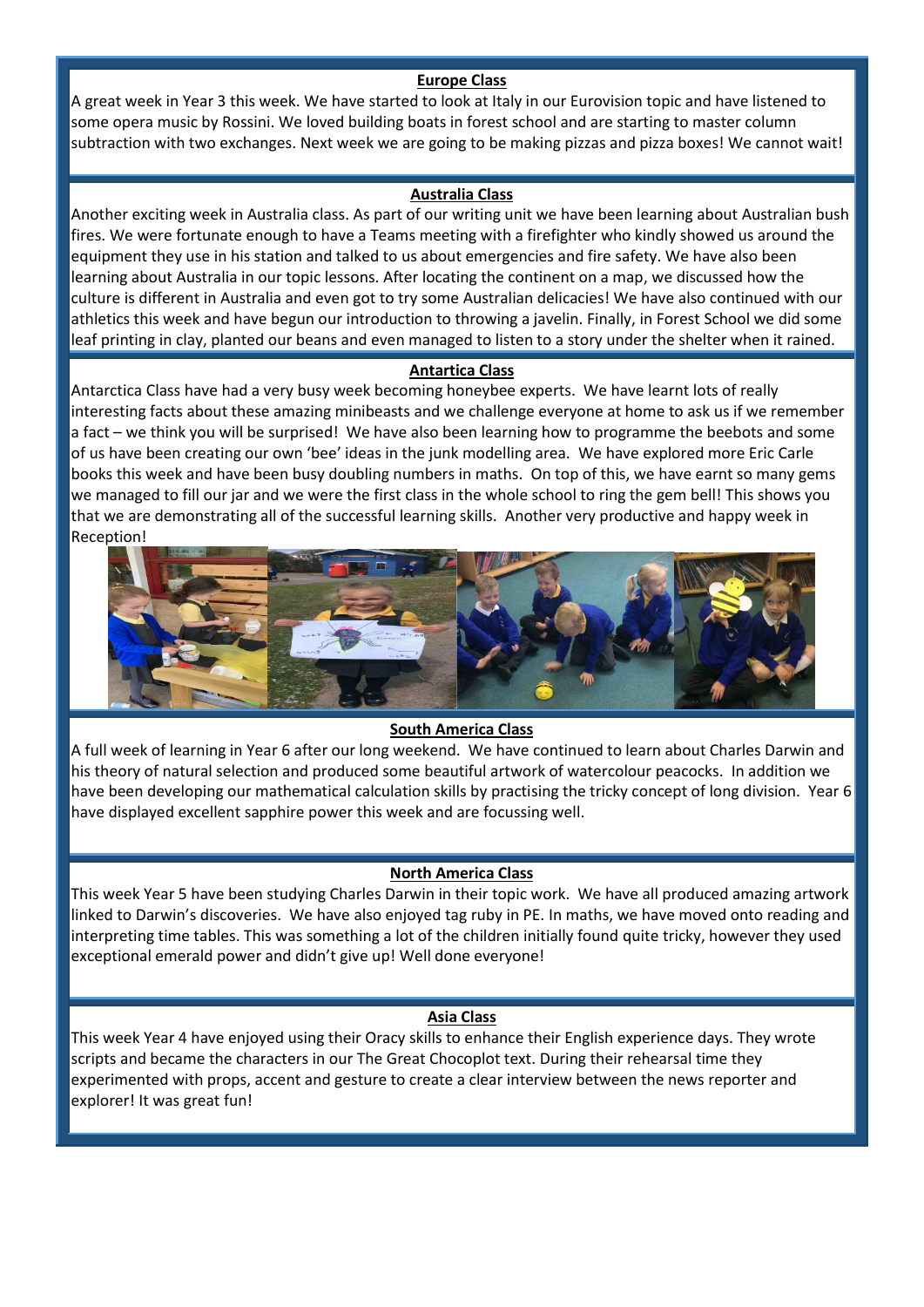#### **Europe Class**

A great week in Year 3 this week. We have started to look at Italy in our Eurovision topic and have listened to some opera music by Rossini. We loved building boats in forest school and are starting to master column subtraction with two exchanges. Next week we are going to be making pizzas and pizza boxes! We cannot wait!

#### **Australia Class**

Another exciting week in Australia class. As part of our writing unit we have been learning about Australian bush fires. We were fortunate enough to have a Teams meeting with a firefighter who kindly showed us around the equipment they use in his station and talked to us about emergencies and fire safety. We have also been learning about Australia in our topic lessons. After locating the continent on a map, we discussed how the culture is different in Australia and even got to try some Australian delicacies! We have also continued with our athletics this week and have begun our introduction to throwing a javelin. Finally, in Forest School we did some leaf printing in clay, planted our beans and even managed to listen to a story under the shelter when it rained.

#### **Antartica Class**

Antarctica Class have had a very busy week becoming honeybee experts. We have learnt lots of really interesting facts about these amazing minibeasts and we challenge everyone at home to ask us if we remember a fact – we think you will be surprised! We have also been learning how to programme the beebots and some of us have been creating our own 'bee' ideas in the junk modelling area. We have explored more Eric Carle books this week and have been busy doubling numbers in maths. On top of this, we have earnt so many gems we managed to fill our jar and we were the first class in the whole school to ring the gem bell! This shows you that we are demonstrating all of the successful learning skills. Another very productive and happy week in Reception!



#### **South America Class**

A full week of learning in Year 6 after our long weekend. We have continued to learn about Charles Darwin and his theory of natural selection and produced some beautiful artwork of watercolour peacocks. In addition we have been developing our mathematical calculation skills by practising the tricky concept of long division. Year 6 have displayed excellent sapphire power this week and are focussing well.

#### **North America Class**

This week Year 5 have been studying Charles Darwin in their topic work. We have all produced amazing artwork linked to Darwin's discoveries. We have also enjoyed tag ruby in PE. In maths, we have moved onto reading and interpreting time tables. This was something a lot of the children initially found quite tricky, however they used exceptional emerald power and didn't give up! Well done everyone!

#### **Asia Class**

This week Year 4 have enjoyed using their Oracy skills to enhance their English experience days. They wrote scripts and became the characters in our The Great Chocoplot text. During their rehearsal time they experimented with props, accent and gesture to create a clear interview between the news reporter and explorer! It was great fun!